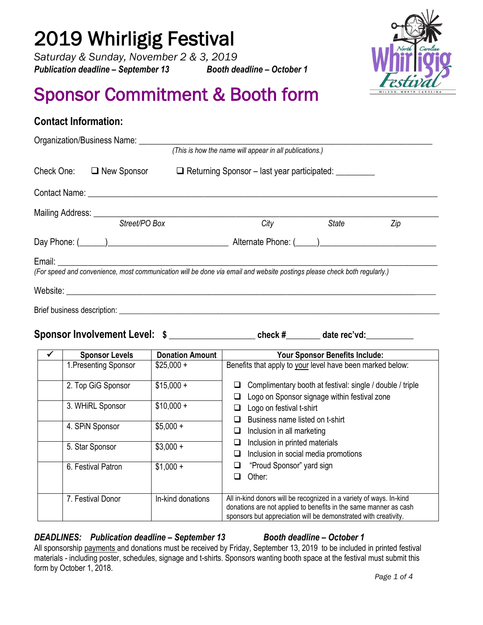# 2019 Whirligig Festival

**Contact Information:** 

*Saturday & Sunday, November 2 & 3, 2019 Publication deadline – September 13 Booth deadline – October 1*



# Sponsor Commitment & Booth form

|                                                                                                                                                                                                                                |                                                         | (This is how the name will appear in all publications.) |     |
|--------------------------------------------------------------------------------------------------------------------------------------------------------------------------------------------------------------------------------|---------------------------------------------------------|---------------------------------------------------------|-----|
| Check One: □ New Sponsor                                                                                                                                                                                                       | □ Returning Sponsor - last year participated: _________ |                                                         |     |
|                                                                                                                                                                                                                                |                                                         |                                                         |     |
|                                                                                                                                                                                                                                |                                                         |                                                         |     |
| Street/PO Box                                                                                                                                                                                                                  | City                                                    | State                                                   | Zip |
|                                                                                                                                                                                                                                | Alternate Phone: ( )                                    |                                                         |     |
| Email: Email: Email: Email: Email: Email: Email: Email: Email: Email: Email: Email: Email: Email: Email: Email: Email: Email: Email: Email: Email: Email: Email: Email: Email: Email: Email: Email: Email: Email: Email: Email |                                                         |                                                         |     |
| (For speed and convenience, most communication will be done via email and website postings please check both regularly.)                                                                                                       |                                                         |                                                         |     |
|                                                                                                                                                                                                                                |                                                         |                                                         |     |

**Sponsor Involvement Level: \$ \_\_\_\_\_\_\_\_\_\_\_\_\_\_\_\_\_\_\_\_ check #\_\_\_\_\_\_\_\_ date rec'vd:\_\_\_\_\_\_\_\_\_\_\_**

| <b>Sponsor Levels</b> | <b>Donation Amount</b> | Your Sponsor Benefits Include:                                                                                                                                                                             |
|-----------------------|------------------------|------------------------------------------------------------------------------------------------------------------------------------------------------------------------------------------------------------|
| 1. Presenting Sponsor | $$25,000 +$            | Benefits that apply to your level have been marked below:                                                                                                                                                  |
| 2. Top GiG Sponsor    | $$15,000 +$            | Complimentary booth at festival: single / double / triple<br>⊔<br>Logo on Sponsor signage within festival zone<br>⊔                                                                                        |
| 3. WHiRL Sponsor      | $$10,000 +$            | Logo on festival t-shirt<br>⊔<br>Business name listed on t-shirt<br>□                                                                                                                                      |
| 4. SPIN Sponsor       | $$5,000 +$             | Inclusion in all marketing<br>❏                                                                                                                                                                            |
| 5. Star Sponsor       | $$3,000 +$             | Inclusion in printed materials<br>❏<br>Inclusion in social media promotions<br>❏                                                                                                                           |
| 6. Festival Patron    | $$1,000 +$             | "Proud Sponsor" yard sign<br>⊔<br>Other:<br>□                                                                                                                                                              |
| 7. Festival Donor     | In-kind donations      | All in-kind donors will be recognized in a variety of ways. In-kind<br>donations are not applied to benefits in the same manner as cash<br>sponsors but appreciation will be demonstrated with creativity. |

### *DEADLINES: Publication deadline – September 13 Booth deadline – October 1*

All sponsorship payments and donations must be received by Friday, September 13, 2019 to be included in printed festival materials - including poster, schedules, signage and t-shirts. Sponsors wanting booth space at the festival must submit this form by October 1, 2018.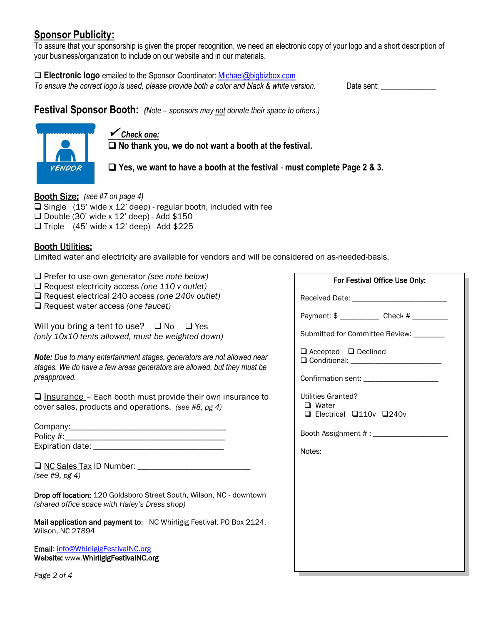### **Sponsor Publicity:**

To assure that your sponsorship is given the proper recognition, we need an electronic copy of your logo and a short description of your business/organization to include on our website and in our materials.

 **Electronic logo** emailed to the Sponsor Coordinator: [Michael@bigbizbox.com](mailto:Michael@bigbizbox.com) *To ensure the correct logo is used, please provide both a color and black & white version.* Date sent: \_\_\_\_\_\_\_\_\_\_\_\_\_\_

**Festival Sponsor Booth:** *(Note – sponsors may not donate their space to others.)*



 *Check one:* **No thank you, we do not want a booth at the festival.** 

**Yes, we want to have a booth at the festival** - **must complete Page 2 & 3.**

Booth Size: *(see #7 on page 4)*  $\Box$  Single (15' wide x 12' deep) - regular booth, included with fee  $\Box$  Double (30' wide x 12' deep) - Add \$150  $\Box$  Triple (45' wide x 12' deep) - Add \$225

### Booth Utilities:

Limited water and electricity are available for vendors and will be considered on as-needed-basis.

Prefer to use own generator *(see note below)*

Request electricity access *(one 110 v outlet)*

Request electrical 240 access *(one 240v outlet)*

Request water access *(one faucet)*

Will you bring a tent to use?  $\Box$  No  $\Box$  Yes *(only 10x10 tents allowed, must be weighted down)* 

*Note: Due to many entertainment stages, generators are not allowed near stages. We do have a few areas generators are allowed, but they must be preapproved.* 

 $\Box$  Insurance – Each booth must provide their own insurance to cover sales, products and operations. *(see #8, pg 4)*

| Company:         |  |
|------------------|--|
| Policy #:        |  |
| Expiration date: |  |

| $\Box$ NC Sales Tax ID Number: |  |
|--------------------------------|--|
| (see #9, pg 4)                 |  |

Drop off location: 120 Goldsboro Street South, Wilson, NC - downtown *(shared office space with Haley's Dress shop)*

Mail application and payment to: NC Whirligig Festival, PO Box 2124, Wilson, NC 27894

Email: [info@WhirligigFestivalNC.org](mailto:info@WhirligigFestivalNC.org)  Website: www.WhirligigFestivalNC.org

| For Festival Office Use Only:                                              |
|----------------------------------------------------------------------------|
| Received Date: _________________________                                   |
|                                                                            |
| Submitted for Committee Review: ________                                   |
| $\Box$ Accepted $\Box$ Declined                                            |
| Confirmation sent: ______________________                                  |
| Utilities Granted?<br>□ Water<br>$\Box$ Electrical $\Box$ 110v $\Box$ 240v |
| Booth Assignment # : ____________________                                  |
| Notes:                                                                     |
|                                                                            |
|                                                                            |
|                                                                            |
|                                                                            |
|                                                                            |
|                                                                            |
|                                                                            |

*Page 2 of 4*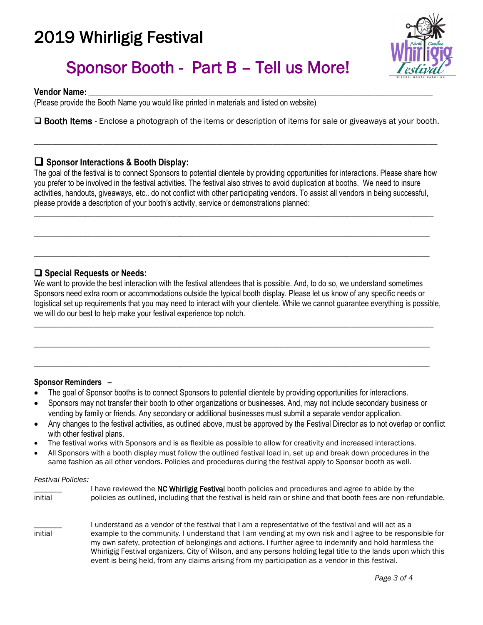### 2019 Whirligig Festival x



## Sponsor Booth - Part B – Tell us More!

**Vendor Name:** \_\_\_\_\_\_\_\_\_\_\_\_\_\_\_\_\_\_\_\_\_\_\_\_\_\_\_\_\_\_\_\_\_\_\_\_\_\_\_\_\_\_\_\_\_\_\_\_\_\_\_\_\_\_\_\_\_\_\_\_\_\_\_\_\_\_\_\_\_\_\_\_\_\_\_\_\_\_\_\_\_\_\_\_\_\_\_

(Please provide the Booth Name you would like printed in materials and listed on website)

□ Booth Items - Enclose a photograph of the items or description of items for sale or giveaways at your booth.

\_\_\_\_\_\_\_\_\_\_\_\_\_\_\_\_\_\_\_\_\_\_\_\_\_\_\_\_\_\_\_\_\_\_\_\_\_\_\_\_\_\_\_\_\_\_\_\_\_\_\_\_\_\_\_\_\_\_\_\_\_\_\_\_\_\_\_\_\_\_\_\_\_\_\_\_\_\_\_\_\_\_\_\_\_\_\_\_\_\_\_\_\_

### **Sponsor Interactions & Booth Display:**

The goal of the festival is to connect Sponsors to potential clientele by providing opportunities for interactions. Please share how you prefer to be involved in the festival activities. The festival also strives to avoid duplication at booths. We need to insure activities, handouts, giveaways, etc.. do not conflict with other participating vendors. To assist all vendors in being successful, please provide a description of your booth's activity, service or demonstrations planned:

\_\_\_\_\_\_\_\_\_\_\_\_\_\_\_\_\_\_\_\_\_\_\_\_\_\_\_\_\_\_\_\_\_\_\_\_\_\_\_\_\_\_\_\_\_\_\_\_\_\_\_\_\_\_\_\_\_\_\_\_\_\_\_\_\_\_\_\_\_\_\_\_\_\_\_\_\_\_\_\_\_\_\_\_\_\_\_\_\_\_\_\_\_\_\_\_\_\_\_\_\_

\_\_\_\_\_\_\_\_\_\_\_\_\_\_\_\_\_\_\_\_\_\_\_\_\_\_\_\_\_\_\_\_\_\_\_\_\_\_\_\_\_\_\_\_\_\_\_\_\_\_\_\_\_\_\_\_\_\_\_\_\_\_\_\_\_\_\_\_\_\_\_\_\_\_\_\_\_\_\_\_\_\_\_\_\_\_\_\_\_\_\_\_\_\_\_\_\_\_\_\_

\_\_\_\_\_\_\_\_\_\_\_\_\_\_\_\_\_\_\_\_\_\_\_\_\_\_\_\_\_\_\_\_\_\_\_\_\_\_\_\_\_\_\_\_\_\_\_\_\_\_\_\_\_\_\_\_\_\_\_\_\_\_\_\_\_\_\_\_\_\_\_\_\_\_\_\_\_\_\_\_\_\_\_\_\_\_\_\_\_\_\_\_\_\_\_\_\_\_\_\_

### **Special Requests or Needs:**

We want to provide the best interaction with the festival attendees that is possible. And, to do so, we understand sometimes Sponsors need extra room or accommodations outside the typical booth display. Please let us know of any specific needs or logistical set up requirements that you may need to interact with your clientele. While we cannot guarantee everything is possible, we will do our best to help make your festival experience top notch.

\_\_\_\_\_\_\_\_\_\_\_\_\_\_\_\_\_\_\_\_\_\_\_\_\_\_\_\_\_\_\_\_\_\_\_\_\_\_\_\_\_\_\_\_\_\_\_\_\_\_\_\_\_\_\_\_\_\_\_\_\_\_\_\_\_\_\_\_\_\_\_\_\_\_\_\_\_\_\_\_\_\_\_\_\_\_\_\_\_\_\_\_\_\_\_\_\_\_\_\_\_

\_\_\_\_\_\_\_\_\_\_\_\_\_\_\_\_\_\_\_\_\_\_\_\_\_\_\_\_\_\_\_\_\_\_\_\_\_\_\_\_\_\_\_\_\_\_\_\_\_\_\_\_\_\_\_\_\_\_\_\_\_\_\_\_\_\_\_\_\_\_\_\_\_\_\_\_\_\_\_\_\_\_\_\_\_\_\_\_\_\_\_\_\_\_\_\_\_\_\_\_

\_\_\_\_\_\_\_\_\_\_\_\_\_\_\_\_\_\_\_\_\_\_\_\_\_\_\_\_\_\_\_\_\_\_\_\_\_\_\_\_\_\_\_\_\_\_\_\_\_\_\_\_\_\_\_\_\_\_\_\_\_\_\_\_\_\_\_\_\_\_\_\_\_\_\_\_\_\_\_\_\_\_\_\_\_\_\_\_\_\_\_\_\_\_\_\_\_\_\_\_

### **Sponsor Reminders –**

- The goal of Sponsor booths is to connect Sponsors to potential clientele by providing opportunities for interactions.
- Sponsors may not transfer their booth to other organizations or businesses. And, may not include secondary business or vending by family or friends. Any secondary or additional businesses must submit a separate vendor application.
- Any changes to the festival activities, as outlined above, must be approved by the Festival Director as to not overlap or conflict with other festival plans.
- The festival works with Sponsors and is as flexible as possible to allow for creativity and increased interactions.
- All Sponsors with a booth display must follow the outlined festival load in, set up and break down procedures in the same fashion as all other vendors. Policies and procedures during the festival apply to Sponsor booth as well.

#### *Festival Policies:*

| initial | I have reviewed the NC Whirligig Festival booth policies and procedures and agree to abide by the<br>policies as outlined, including that the festival is held rain or shine and that booth fees are non-refundable.                                                                                                                                                                                                                                                                                                                                 |
|---------|------------------------------------------------------------------------------------------------------------------------------------------------------------------------------------------------------------------------------------------------------------------------------------------------------------------------------------------------------------------------------------------------------------------------------------------------------------------------------------------------------------------------------------------------------|
| initial | I understand as a vendor of the festival that I am a representative of the festival and will act as a<br>example to the community. I understand that I am vending at my own risk and I agree to be responsible for<br>my own safety, protection of belongings and actions. I further agree to indemnify and hold harmless the<br>Whirligig Festival organizers, City of Wilson, and any persons holding legal title to the lands upon which this<br>event is being held, from any claims arising from my participation as a vendor in this festival. |